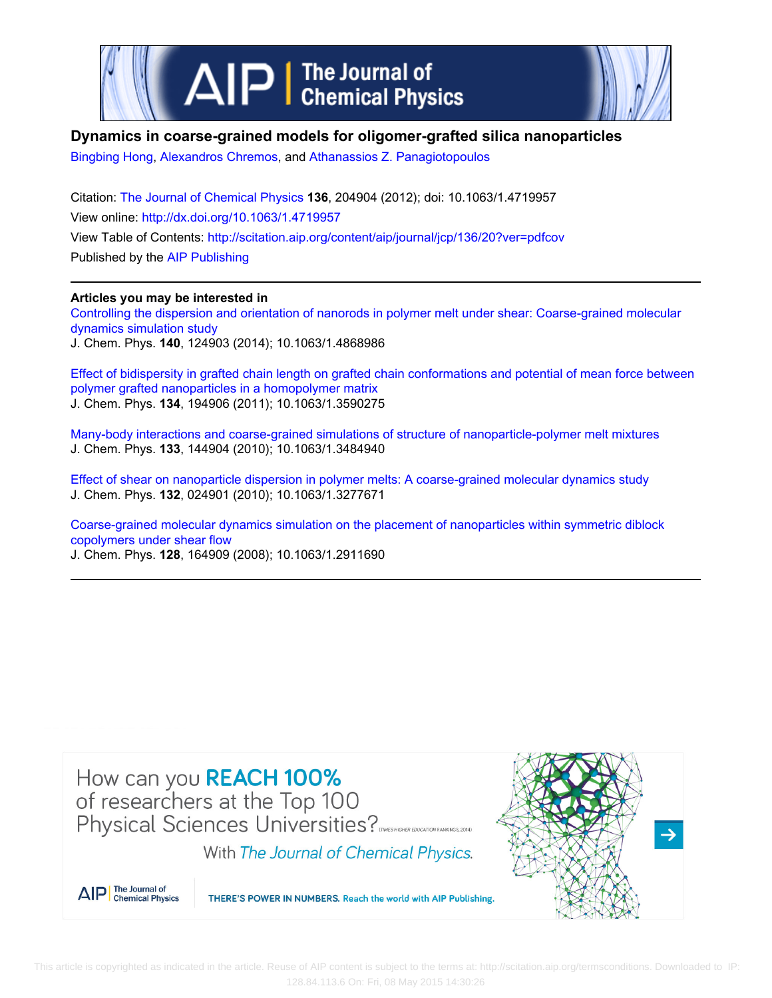

## **Dynamics in coarse-grained models for oligomer-grafted silica nanoparticles**

[Bingbing Hong,](http://scitation.aip.org/search?value1=Bingbing+Hong&option1=author) [Alexandros Chremos](http://scitation.aip.org/search?value1=Alexandros+Chremos&option1=author), and [Athanassios Z. Panagiotopoulos](http://scitation.aip.org/search?value1=Athanassios+Z.+Panagiotopoulos&option1=author)

Citation: [The Journal of Chemical Physics](http://scitation.aip.org/content/aip/journal/jcp?ver=pdfcov) **136**, 204904 (2012); doi: 10.1063/1.4719957 View online: <http://dx.doi.org/10.1063/1.4719957> View Table of Contents: <http://scitation.aip.org/content/aip/journal/jcp/136/20?ver=pdfcov> Published by the [AIP Publishing](http://scitation.aip.org/content/aip?ver=pdfcov)

## **Articles you may be interested in**

[Controlling the dispersion and orientation of nanorods in polymer melt under shear: Coarse-grained molecular](http://scitation.aip.org/content/aip/journal/jcp/140/12/10.1063/1.4868986?ver=pdfcov) [dynamics simulation study](http://scitation.aip.org/content/aip/journal/jcp/140/12/10.1063/1.4868986?ver=pdfcov) J. Chem. Phys. **140**, 124903 (2014); 10.1063/1.4868986

[Effect of bidispersity in grafted chain length on grafted chain conformations and potential of mean force between](http://scitation.aip.org/content/aip/journal/jcp/134/19/10.1063/1.3590275?ver=pdfcov) [polymer grafted nanoparticles in a homopolymer matrix](http://scitation.aip.org/content/aip/journal/jcp/134/19/10.1063/1.3590275?ver=pdfcov) J. Chem. Phys. **134**, 194906 (2011); 10.1063/1.3590275

[Many-body interactions and coarse-grained simulations of structure of nanoparticle-polymer melt mixtures](http://scitation.aip.org/content/aip/journal/jcp/133/14/10.1063/1.3484940?ver=pdfcov) J. Chem. Phys. **133**, 144904 (2010); 10.1063/1.3484940

[Effect of shear on nanoparticle dispersion in polymer melts: A coarse-grained molecular dynamics study](http://scitation.aip.org/content/aip/journal/jcp/132/2/10.1063/1.3277671?ver=pdfcov) J. Chem. Phys. **132**, 024901 (2010); 10.1063/1.3277671

[Coarse-grained molecular dynamics simulation on the placement of nanoparticles within symmetric diblock](http://scitation.aip.org/content/aip/journal/jcp/128/16/10.1063/1.2911690?ver=pdfcov) [copolymers under shear flow](http://scitation.aip.org/content/aip/journal/jcp/128/16/10.1063/1.2911690?ver=pdfcov)

J. Chem. Phys. **128**, 164909 (2008); 10.1063/1.2911690



 This article is copyrighted as indicated in the article. Reuse of AIP content is subject to the terms at: http://scitation.aip.org/termsconditions. Downloaded to IP: 128.84.113.6 On: Fri, 08 May 2015 14:30:26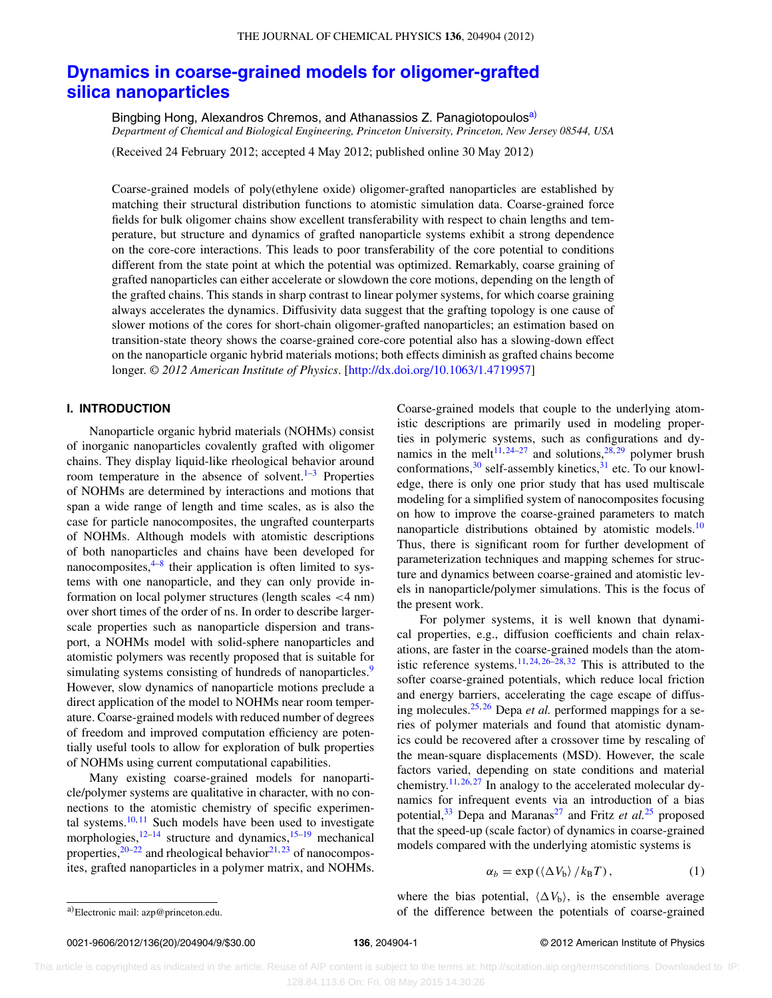# **[Dynamics in coarse-grained models for oligomer-grafted](http://dx.doi.org/10.1063/1.4719957) [silica nanoparticles](http://dx.doi.org/10.1063/1.4719957)**

Bingbing Hong, Alexandros Chremos, and Athanassios Z. Panagiotopoulos<sup>[a\)](#page-1-0)</sup> *Department of Chemical and Biological Engineering, Princeton University, Princeton, New Jersey 08544, USA*

(Received 24 February 2012; accepted 4 May 2012; published online 30 May 2012)

Coarse-grained models of poly(ethylene oxide) oligomer-grafted nanoparticles are established by matching their structural distribution functions to atomistic simulation data. Coarse-grained force fields for bulk oligomer chains show excellent transferability with respect to chain lengths and temperature, but structure and dynamics of grafted nanoparticle systems exhibit a strong dependence on the core-core interactions. This leads to poor transferability of the core potential to conditions different from the state point at which the potential was optimized. Remarkably, coarse graining of grafted nanoparticles can either accelerate or slowdown the core motions, depending on the length of the grafted chains. This stands in sharp contrast to linear polymer systems, for which coarse graining always accelerates the dynamics. Diffusivity data suggest that the grafting topology is one cause of slower motions of the cores for short-chain oligomer-grafted nanoparticles; an estimation based on transition-state theory shows the coarse-grained core-core potential also has a slowing-down effect on the nanoparticle organic hybrid materials motions; both effects diminish as grafted chains become longer. *© 2012 American Institute of Physics*. [\[http://dx.doi.org/10.1063/1.4719957\]](http://dx.doi.org/10.1063/1.4719957)

#### **I. INTRODUCTION**

Nanoparticle organic hybrid materials (NOHMs) consist of inorganic nanoparticles covalently grafted with oligomer chains. They display liquid-like rheological behavior around room temperature in the absence of solvent.<sup>[1](#page-8-0)[–3](#page-8-1)</sup> Properties of NOHMs are determined by interactions and motions that span a wide range of length and time scales, as is also the case for particle nanocomposites, the ungrafted counterparts of NOHMs. Although models with atomistic descriptions of both nanoparticles and chains have been developed for nanocomposites, $4\frac{4-8}{8}$  $4\frac{4-8}{8}$  $4\frac{4-8}{8}$  their application is often limited to systems with one nanoparticle, and they can only provide information on local polymer structures (length scales *<*4 nm) over short times of the order of ns. In order to describe largerscale properties such as nanoparticle dispersion and transport, a NOHMs model with solid-sphere nanoparticles and atomistic polymers was recently proposed that is suitable for simulating systems consisting of hundreds of nanoparticles.<sup>9</sup> However, slow dynamics of nanoparticle motions preclude a direct application of the model to NOHMs near room temperature. Coarse-grained models with reduced number of degrees of freedom and improved computation efficiency are potentially useful tools to allow for exploration of bulk properties of NOHMs using current computational capabilities.

Many existing coarse-grained models for nanoparticle/polymer systems are qualitative in character, with no connections to the atomistic chemistry of specific experimental systems. $10, 11$  $10, 11$  Such models have been used to investigate morphologies, $12-14$  $12-14$  structure and dynamics, $15-19$  mechanical properties, $2^{20-22}$  and rheological behavior $2^{1,23}$  $2^{1,23}$  $2^{1,23}$  of nanocomposites, grafted nanoparticles in a polymer matrix, and NOHMs. Coarse-grained models that couple to the underlying atomistic descriptions are primarily used in modeling properties in polymeric systems, such as configurations and dy-namics in the melt<sup>[11,](#page-9-4) [24](#page-9-13)[–27](#page-9-14)</sup> and solutions, <sup>[28,](#page-9-15) [29](#page-9-16)</sup> polymer brush conformations,  $30$  self-assembly kinetics,  $31$  etc. To our knowledge, there is only one prior study that has used multiscale modeling for a simplified system of nanocomposites focusing on how to improve the coarse-grained parameters to match nanoparticle distributions obtained by atomistic models.<sup>[10](#page-9-3)</sup> Thus, there is significant room for further development of parameterization techniques and mapping schemes for structure and dynamics between coarse-grained and atomistic levels in nanoparticle/polymer simulations. This is the focus of the present work.

For polymer systems, it is well known that dynamical properties, e.g., diffusion coefficients and chain relaxations, are faster in the coarse-grained models than the atom-istic reference systems.<sup>[11,](#page-9-4) [24,](#page-9-13) [26–](#page-9-19)[28,](#page-9-15) [32](#page-9-20)</sup> This is attributed to the softer coarse-grained potentials, which reduce local friction and energy barriers, accelerating the cage escape of diffusing molecules[.25,](#page-9-21) [26](#page-9-19) Depa *et al.* performed mappings for a series of polymer materials and found that atomistic dynamics could be recovered after a crossover time by rescaling of the mean-square displacements (MSD). However, the scale factors varied, depending on state conditions and material chemistry.<sup>11, [26,](#page-9-19) [27](#page-9-14)</sup> In analogy to the accelerated molecular dynamics for infrequent events via an introduction of a bias potential,<sup>33</sup> Depa and Maranas<sup>[27](#page-9-14)</sup> and Fritz *et al.*<sup>[25](#page-9-21)</sup> proposed that the speed-up (scale factor) of dynamics in coarse-grained models compared with the underlying atomistic systems is

where the bias potential,  $\langle \Delta V_b \rangle$ , is the ensemble average of the difference between the potentials of coarse-grained

<span id="page-1-1"></span>
$$
\alpha_b = \exp\left(\langle \Delta V_{\rm b} \rangle / k_{\rm B} T\right),\tag{1}
$$

<span id="page-1-0"></span>a)Electronic mail: [azp@princeton.edu.](mailto: azp@princeton.edu)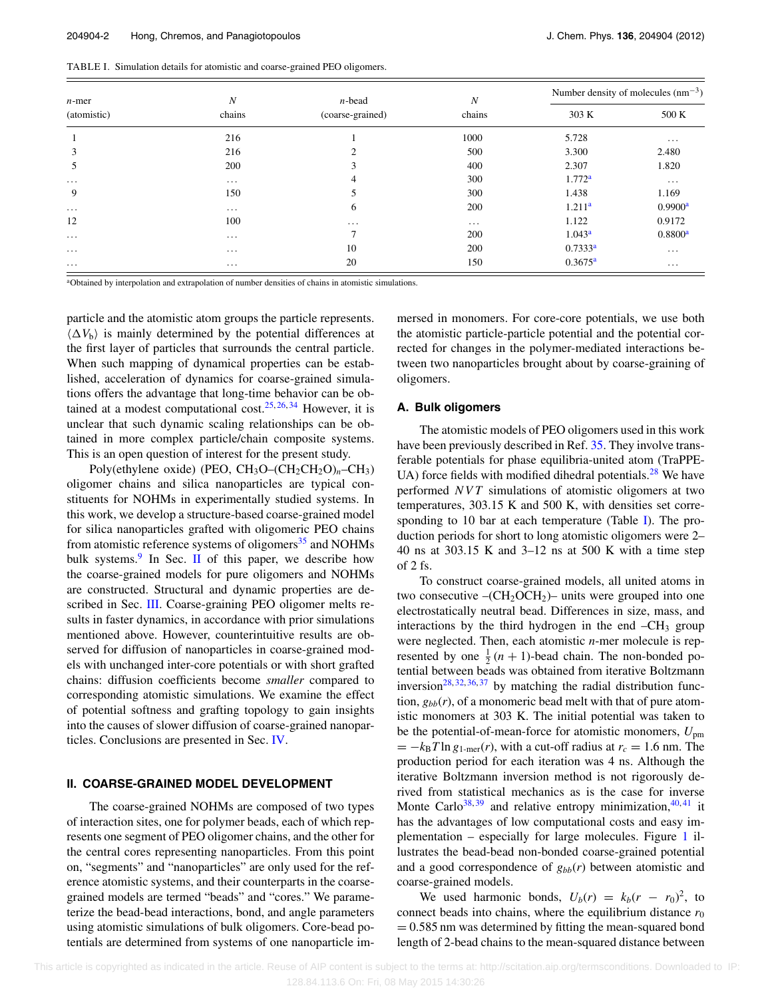<span id="page-2-2"></span>

|  |  |  |  |  | TABLE I. Simulation details for atomistic and coarse-grained PEO oligomers. |  |  |
|--|--|--|--|--|-----------------------------------------------------------------------------|--|--|
|--|--|--|--|--|-----------------------------------------------------------------------------|--|--|

| $n$ -mer<br>(atomistic) | N<br>chains | $n$ -bead<br>(coarse-grained) | N<br>chains | Number density of molecules $(nm^{-3})$ |                  |
|-------------------------|-------------|-------------------------------|-------------|-----------------------------------------|------------------|
|                         |             |                               |             | 303 K                                   | 500 K            |
|                         | 216         |                               | 1000        | 5.728                                   | $\cdots$         |
| 3                       | 216         | ∍                             | 500         | 3.300                                   | 2.480            |
| 5                       | 200         | 3                             | 400         | 2.307                                   | 1.820            |
| .                       | $\cdots$    | 4                             | 300         | 1.772 <sup>a</sup>                      | $\cdots$         |
| 9                       | 150         |                               | 300         | 1.438                                   | 1.169            |
| $\cdots$                | $\cdots$    | 6                             | 200         | 1.211 <sup>a</sup>                      | $0.9900^{\rm a}$ |
| 12                      | 100         | $\cdots$                      | $\cdots$    | 1.122                                   | 0.9172           |
| $\cdots$                | $\cdots$    | -                             | 200         | $1.043^{\rm a}$                         | $0.8800^{\rm a}$ |
| $\cdots$                | $\cdots$    | 10                            | 200         | $0.7333^a$                              | $\cdots$         |
| $\cdots$                | $\cdots$    | 20                            | 150         | $0.3675^{\rm a}$                        | $\cdots$         |

<span id="page-2-0"></span><sup>a</sup>Obtained by interpolation and extrapolation of number densities of chains in atomistic simulations.

particle and the atomistic atom groups the particle represents.  $\langle \Delta V_b \rangle$  is mainly determined by the potential differences at the first layer of particles that surrounds the central particle. When such mapping of dynamical properties can be established, acceleration of dynamics for coarse-grained simulations offers the advantage that long-time behavior can be ob-tained at a modest computational cost.<sup>[25,](#page-9-21) [26,](#page-9-19) [34](#page-9-23)</sup> However, it is unclear that such dynamic scaling relationships can be obtained in more complex particle/chain composite systems. This is an open question of interest for the present study.

Poly(ethylene oxide) (PEO, CH<sub>3</sub>O–(CH<sub>2</sub>CH<sub>2</sub>O)<sub>n</sub>–CH<sub>3</sub>) oligomer chains and silica nanoparticles are typical constituents for NOHMs in experimentally studied systems. In this work, we develop a structure-based coarse-grained model for silica nanoparticles grafted with oligomeric PEO chains from atomistic reference systems of oligomers<sup>35</sup> and NOHMs bulk systems. $9 \text{ In}$  Sec. [II](#page-2-1) of this paper, we describe how the coarse-grained models for pure oligomers and NOHMs are constructed. Structural and dynamic properties are de-scribed in Sec. [III.](#page-5-0) Coarse-graining PEO oligomer melts results in faster dynamics, in accordance with prior simulations mentioned above. However, counterintuitive results are observed for diffusion of nanoparticles in coarse-grained models with unchanged inter-core potentials or with short grafted chains: diffusion coefficients become *smaller* compared to corresponding atomistic simulations. We examine the effect of potential softness and grafting topology to gain insights into the causes of slower diffusion of coarse-grained nanoparticles. Conclusions are presented in Sec. [IV.](#page-8-2)

#### <span id="page-2-1"></span>**II. COARSE-GRAINED MODEL DEVELOPMENT**

The coarse-grained NOHMs are composed of two types of interaction sites, one for polymer beads, each of which represents one segment of PEO oligomer chains, and the other for the central cores representing nanoparticles. From this point on, "segments" and "nanoparticles" are only used for the reference atomistic systems, and their counterparts in the coarsegrained models are termed "beads" and "cores." We parameterize the bead-bead interactions, bond, and angle parameters using atomistic simulations of bulk oligomers. Core-bead potentials are determined from systems of one nanoparticle immersed in monomers. For core-core potentials, we use both the atomistic particle-particle potential and the potential corrected for changes in the polymer-mediated interactions between two nanoparticles brought about by coarse-graining of oligomers.

#### <span id="page-2-3"></span>**A. Bulk oligomers**

The atomistic models of PEO oligomers used in this work have been previously described in Ref. [35.](#page-9-24) They involve transferable potentials for phase equilibria-united atom (TraPPE-UA) force fields with modified dihedral potentials. $^{28}$  $^{28}$  $^{28}$  We have performed *NVT* simulations of atomistic oligomers at two temperatures, 303.15 K and 500 K, with densities set corresponding to 10 bar at each temperature (Table [I\)](#page-2-2). The production periods for short to long atomistic oligomers were 2– 40 ns at 303.15 K and 3–12 ns at 500 K with a time step of 2 fs.

To construct coarse-grained models, all united atoms in two consecutive  $-(CH<sub>2</sub>OCH<sub>2</sub>)$  units were grouped into one electrostatically neutral bead. Differences in size, mass, and interactions by the third hydrogen in the end  $-CH<sub>3</sub>$  group were neglected. Then, each atomistic *n*-mer molecule is represented by one  $\frac{1}{2}(n + 1)$ -bead chain. The non-bonded potential between beads was obtained from iterative Boltzmann inversion<sup>28, [32,](#page-9-20) [36,](#page-9-25) [37](#page-9-26)</sup> by matching the radial distribution function,  $g_{bb}(r)$ , of a monomeric bead melt with that of pure atomistic monomers at 303 K. The initial potential was taken to be the potential-of-mean-force for atomistic monomers,  $U_{\text{pm}}$  $= -k_B T \ln g_{1-\text{mer}}(r)$ , with a cut-off radius at  $r_c = 1.6$  nm. The production period for each iteration was 4 ns. Although the iterative Boltzmann inversion method is not rigorously derived from statistical mechanics as is the case for inverse Monte Carlo<sup>38, [39](#page-9-28)</sup> and relative entropy minimization,  $40,41$  $40,41$  it has the advantages of low computational costs and easy implementation – especially for large molecules. Figure [1](#page-3-0) illustrates the bead-bead non-bonded coarse-grained potential and a good correspondence of  $g_{bb}(r)$  between atomistic and coarse-grained models.

We used harmonic bonds,  $U_b(r) = k_b(r - r_0)^2$ , to connect beads into chains, where the equilibrium distance  $r_0$  $= 0.585$  nm was determined by fitting the mean-squared bond length of 2-bead chains to the mean-squared distance between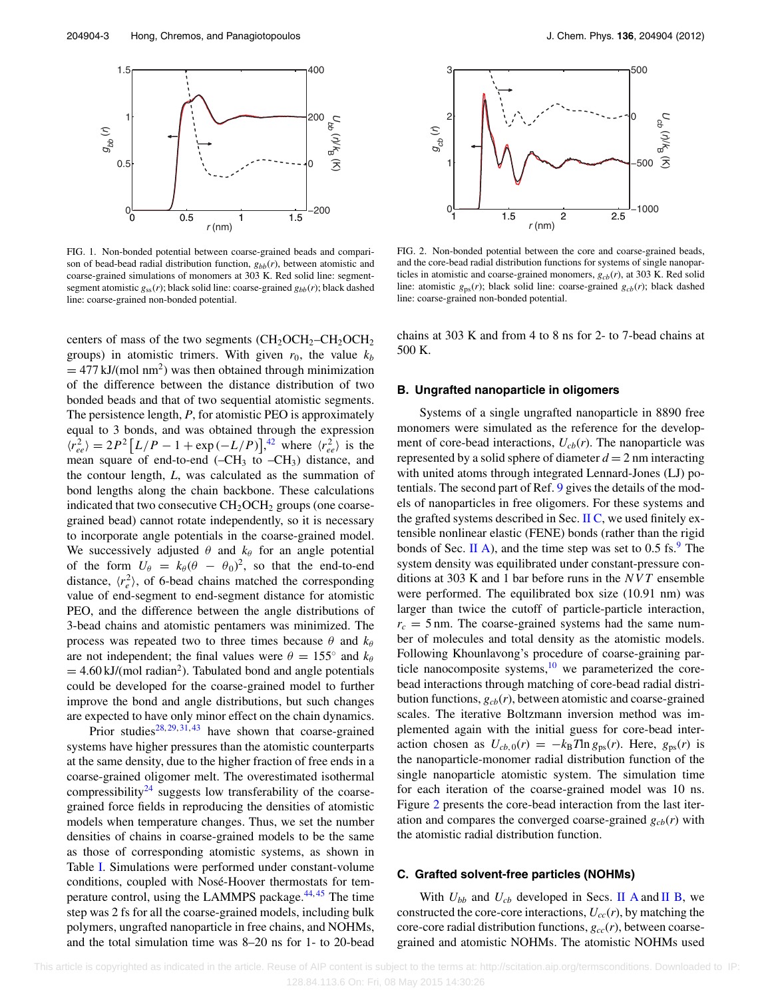<span id="page-3-0"></span>

FIG. 1. Non-bonded potential between coarse-grained beads and comparison of bead-bead radial distribution function, *gbb*(*r*), between atomistic and coarse-grained simulations of monomers at 303 K. Red solid line: segmentsegment atomistic  $g_{ss}(r)$ ; black solid line: coarse-grained  $g_{bb}(r)$ ; black dashed line: coarse-grained non-bonded potential.

centers of mass of the two segments  $(CH_2OCH_2-CH_2OCH_2)$ groups) in atomistic trimers. With given  $r_0$ , the value  $k_b$  $=$  477 kJ/(mol nm<sup>2</sup>) was then obtained through minimization of the difference between the distance distribution of two bonded beads and that of two sequential atomistic segments. The persistence length, *P*, for atomistic PEO is approximately equal to 3 bonds, and was obtained through the expression  $\langle r_{ee}^2 \rangle = 2P^2 \left[ L/P - 1 + \exp(-L/P) \right],^{42}$  $\langle r_{ee}^2 \rangle = 2P^2 \left[ L/P - 1 + \exp(-L/P) \right],^{42}$  $\langle r_{ee}^2 \rangle = 2P^2 \left[ L/P - 1 + \exp(-L/P) \right],^{42}$  where  $\langle r_{ee}^2 \rangle$  is the mean square of end-to-end  $(-CH_3$  to  $-CH_3)$  distance, and the contour length, *L*, was calculated as the summation of bond lengths along the chain backbone. These calculations indicated that two consecutive  $CH<sub>2</sub>OCH<sub>2</sub>$  groups (one coarsegrained bead) cannot rotate independently, so it is necessary to incorporate angle potentials in the coarse-grained model. We successively adjusted  $\theta$  and  $k_{\theta}$  for an angle potential of the form  $U_{\theta} = k_{\theta}(\theta - \theta_0)^2$ , so that the end-to-end distance,  $\langle r_e^2 \rangle$ , of 6-bead chains matched the corresponding value of end-segment to end-segment distance for atomistic PEO, and the difference between the angle distributions of 3-bead chains and atomistic pentamers was minimized. The process was repeated two to three times because  $\theta$  and  $k_{\theta}$ are not independent; the final values were  $\theta = 155^\circ$  and  $k_\theta$  $= 4.60 \text{ kJ/(mol radian}^2)$ . Tabulated bond and angle potentials could be developed for the coarse-grained model to further improve the bond and angle distributions, but such changes are expected to have only minor effect on the chain dynamics.

Prior studies<sup>[28,](#page-9-15) [29,](#page-9-16) [31,](#page-9-18) [43](#page-9-32)</sup> have shown that coarse-grained systems have higher pressures than the atomistic counterparts at the same density, due to the higher fraction of free ends in a coarse-grained oligomer melt. The overestimated isothermal compressibility<sup>24</sup> suggests low transferability of the coarsegrained force fields in reproducing the densities of atomistic models when temperature changes. Thus, we set the number densities of chains in coarse-grained models to be the same as those of corresponding atomistic systems, as shown in Table [I.](#page-2-2) Simulations were performed under constant-volume conditions, coupled with Nosé-Hoover thermostats for tem-perature control, using the LAMMPS package.<sup>44,[45](#page-9-34)</sup> The time step was 2 fs for all the coarse-grained models, including bulk polymers, ungrafted nanoparticle in free chains, and NOHMs, and the total simulation time was 8–20 ns for 1- to 20-bead

<span id="page-3-2"></span>

FIG. 2. Non-bonded potential between the core and coarse-grained beads, and the core-bead radial distribution functions for systems of single nanoparticles in atomistic and coarse-grained monomers, *gcb*(*r*), at 303 K. Red solid line: atomistic  $g_{ps}(r)$ ; black solid line: coarse-grained  $g_{cb}(r)$ ; black dashed line: coarse-grained non-bonded potential.

chains at 303 K and from 4 to 8 ns for 2- to 7-bead chains at 500 K.

#### <span id="page-3-3"></span>**B. Ungrafted nanoparticle in oligomers**

Systems of a single ungrafted nanoparticle in 8890 free monomers were simulated as the reference for the development of core-bead interactions,  $U_{cb}(r)$ . The nanoparticle was represented by a solid sphere of diameter  $d = 2$  nm interacting with united atoms through integrated Lennard-Jones (LJ) potentials. The second part of Ref. [9](#page-9-2) gives the details of the models of nanoparticles in free oligomers. For these systems and the grafted systems described in Sec. [II C,](#page-3-1) we used finitely extensible nonlinear elastic (FENE) bonds (rather than the rigid bonds of Sec. [II A\)](#page-2-3), and the time step was set to 0.5 fs. The system density was equilibrated under constant-pressure conditions at 303 K and 1 bar before runs in the *NVT* ensemble were performed. The equilibrated box size (10.91 nm) was larger than twice the cutoff of particle-particle interaction,  $r_c = 5$  nm. The coarse-grained systems had the same number of molecules and total density as the atomistic models. Following Khounlavong's procedure of coarse-graining particle nanocomposite systems, $10$  we parameterized the corebead interactions through matching of core-bead radial distribution functions,  $g_{cb}(r)$ , between atomistic and coarse-grained scales. The iterative Boltzmann inversion method was implemented again with the initial guess for core-bead interaction chosen as  $U_{cb,0}(r) = -k_B T \ln g_{ps}(r)$ . Here,  $g_{ps}(r)$  is the nanoparticle-monomer radial distribution function of the single nanoparticle atomistic system. The simulation time for each iteration of the coarse-grained model was 10 ns. Figure [2](#page-3-2) presents the core-bead interaction from the last iteration and compares the converged coarse-grained  $g_{cb}(r)$  with the atomistic radial distribution function.

#### <span id="page-3-1"></span>**C. Grafted solvent-free particles (NOHMs)**

With  $U_{bb}$  and  $U_{cb}$  developed in Secs. [II A](#page-2-3) and [II B,](#page-3-3) we constructed the core-core interactions,  $U_{cc}(r)$ , by matching the core-core radial distribution functions,  $g_{cc}(r)$ , between coarsegrained and atomistic NOHMs. The atomistic NOHMs used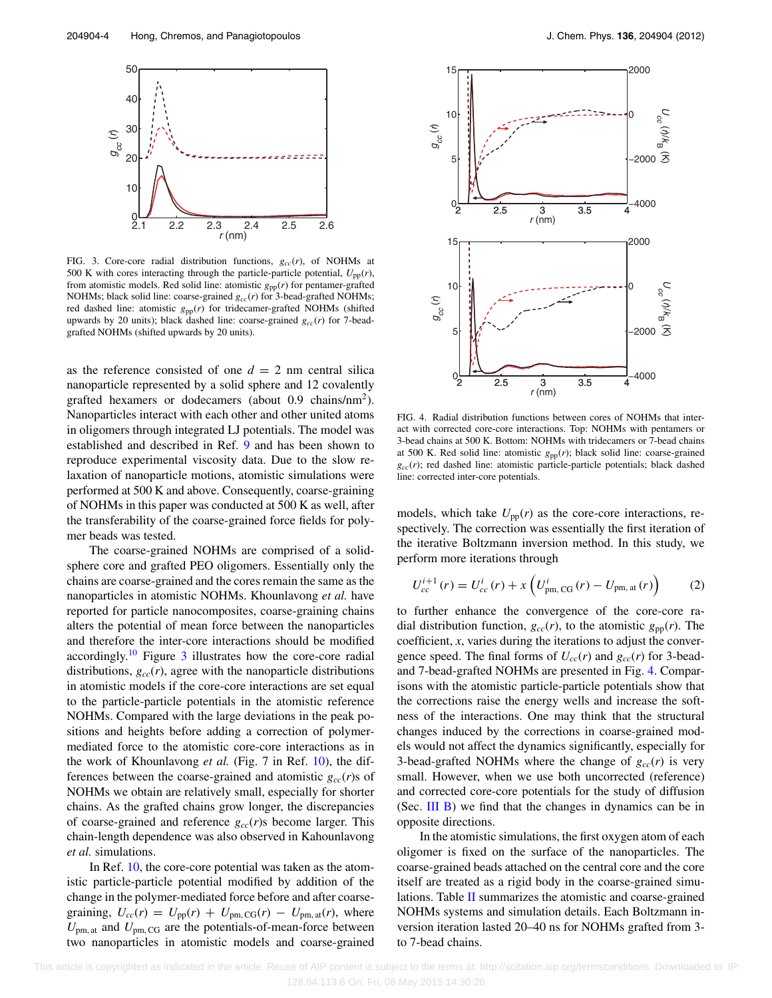<span id="page-4-0"></span>

FIG. 3. Core-core radial distribution functions,  $g_{cc}(r)$ , of NOHMs at 500 K with cores interacting through the particle-particle potential,  $U_{\text{pp}}(r)$ , from atomistic models. Red solid line: atomistic  $g_{pp}(r)$  for pentamer-grafted NOHMs; black solid line: coarse-grained *gcc*(*r*) for 3-bead-grafted NOHMs; red dashed line: atomistic *g*pp(*r*) for tridecamer-grafted NOHMs (shifted upwards by 20 units); black dashed line: coarse-grained  $g_{cc}(r)$  for 7-beadgrafted NOHMs (shifted upwards by 20 units).

as the reference consisted of one  $d = 2$  nm central silica nanoparticle represented by a solid sphere and 12 covalently grafted hexamers or dodecamers (about  $0.9 \text{ chains/nm}^2$ ). Nanoparticles interact with each other and other united atoms in oligomers through integrated LJ potentials. The model was established and described in Ref. [9](#page-9-2) and has been shown to reproduce experimental viscosity data. Due to the slow relaxation of nanoparticle motions, atomistic simulations were performed at 500 K and above. Consequently, coarse-graining of NOHMs in this paper was conducted at 500 K as well, after the transferability of the coarse-grained force fields for polymer beads was tested.

The coarse-grained NOHMs are comprised of a solidsphere core and grafted PEO oligomers. Essentially only the chains are coarse-grained and the cores remain the same as the nanoparticles in atomistic NOHMs. Khounlavong *et al.* have reported for particle nanocomposites, coarse-graining chains alters the potential of mean force between the nanoparticles and therefore the inter-core interactions should be modified accordingly.<sup>10</sup> Figure  $\overline{3}$  $\overline{3}$  $\overline{3}$  illustrates how the core-core radial distributions,  $g_{cc}(r)$ , agree with the nanoparticle distributions in atomistic models if the core-core interactions are set equal to the particle-particle potentials in the atomistic reference NOHMs. Compared with the large deviations in the peak positions and heights before adding a correction of polymermediated force to the atomistic core-core interactions as in the work of Khounlavong *et al.* (Fig. 7 in Ref. [10\)](#page-9-3), the differences between the coarse-grained and atomistic  $g_{cc}(r)$ s of NOHMs we obtain are relatively small, especially for shorter chains. As the grafted chains grow longer, the discrepancies of coarse-grained and reference  $g_{cc}(r)$ s become larger. This chain-length dependence was also observed in Kahounlavong *et al.* simulations.

In Ref. [10,](#page-9-3) the core-core potential was taken as the atomistic particle-particle potential modified by addition of the change in the polymer-mediated force before and after coarsegraining,  $U_{cc}(r) = U_{\text{pp}}(r) + U_{\text{pm, CG}}(r) - U_{\text{pm, at}}(r)$ , where  $U_{\text{pm, at}}$  and  $U_{\text{pm, CG}}$  are the potentials-of-mean-force between two nanoparticles in atomistic models and coarse-grained

<span id="page-4-1"></span>

FIG. 4. Radial distribution functions between cores of NOHMs that interact with corrected core-core interactions. Top: NOHMs with pentamers or 3-bead chains at 500 K. Bottom: NOHMs with tridecamers or 7-bead chains at 500 K. Red solid line: atomistic *g*pp(*r*); black solid line: coarse-grained  $g_{cc}(r)$ ; red dashed line: atomistic particle-particle potentials; black dashed line: corrected inter-core potentials.

models, which take  $U_{\text{pp}}(r)$  as the core-core interactions, respectively. The correction was essentially the first iteration of the iterative Boltzmann inversion method. In this study, we perform more iterations through

$$
U_{cc}^{i+1}(r) = U_{cc}^{i}(r) + x \left( U_{\text{pm, CG}}^{i}(r) - U_{\text{pm, at}}(r) \right)
$$
 (2)

to further enhance the convergence of the core-core radial distribution function,  $g_{cc}(r)$ , to the atomistic  $g_{pp}(r)$ . The coefficient, *x*, varies during the iterations to adjust the convergence speed. The final forms of  $U_{cc}(r)$  and  $g_{cc}(r)$  for 3-beadand 7-bead-grafted NOHMs are presented in Fig. [4.](#page-4-1) Comparisons with the atomistic particle-particle potentials show that the corrections raise the energy wells and increase the softness of the interactions. One may think that the structural changes induced by the corrections in coarse-grained models would not affect the dynamics significantly, especially for 3-bead-grafted NOHMs where the change of  $g_{cc}(r)$  is very small. However, when we use both uncorrected (reference) and corrected core-core potentials for the study of diffusion (Sec. [III B\)](#page-6-0) we find that the changes in dynamics can be in opposite directions.

In the atomistic simulations, the first oxygen atom of each oligomer is fixed on the surface of the nanoparticles. The coarse-grained beads attached on the central core and the core itself are treated as a rigid body in the coarse-grained simulations. Table [II](#page-5-1) summarizes the atomistic and coarse-grained NOHMs systems and simulation details. Each Boltzmann inversion iteration lasted 20–40 ns for NOHMs grafted from 3 to 7-bead chains.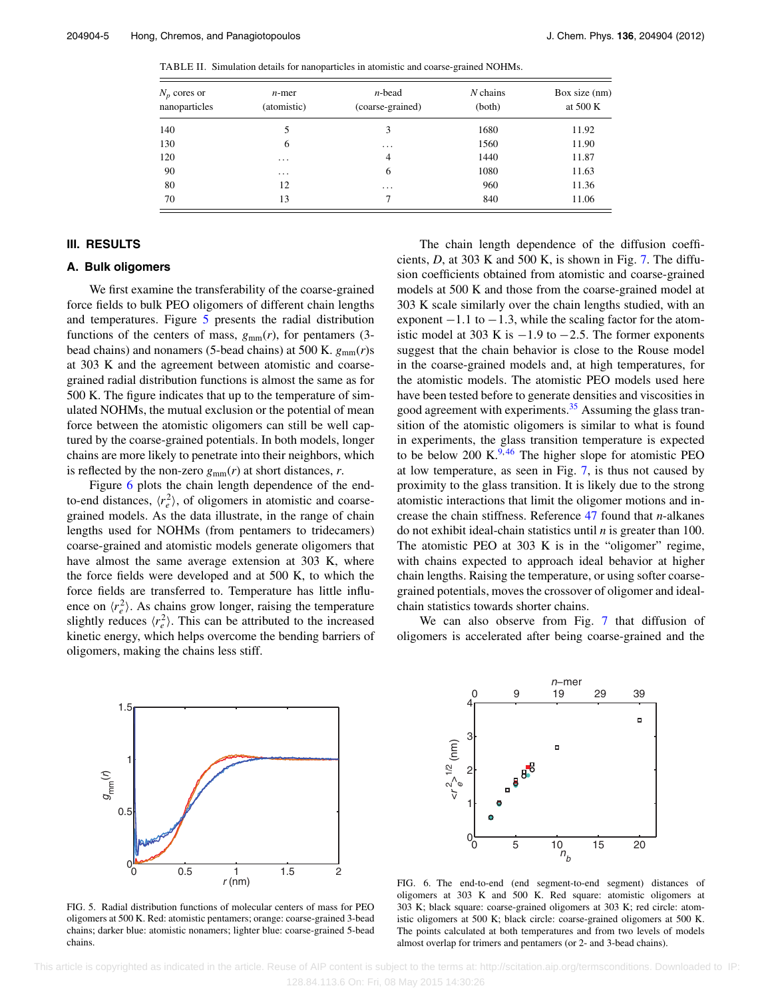<span id="page-5-1"></span>TABLE II. Simulation details for nanoparticles in atomistic and coarse-grained NOHMs.

| $N_p$ cores or<br>nanoparticles | $n$ -mer<br>(atomistic) | $n$ -bead<br>(coarse-grained) | $N$ chains<br>(both) | Box size (nm)<br>at $500 K$ |
|---------------------------------|-------------------------|-------------------------------|----------------------|-----------------------------|
| 140                             | 5                       | 3                             | 1680                 | 11.92                       |
| 130                             | 6                       | $\cdots$                      | 1560                 | 11.90                       |
| 120                             | $\cdots$                | 4                             | 1440                 | 11.87                       |
| 90                              | $\cdots$                | 6                             | 1080                 | 11.63                       |
| 80                              | 12                      | $\cdots$                      | 960                  | 11.36                       |
| 70                              | 13                      |                               | 840                  | 11.06                       |

## <span id="page-5-0"></span>**III. RESULTS**

### **A. Bulk oligomers**

We first examine the transferability of the coarse-grained force fields to bulk PEO oligomers of different chain lengths and temperatures. Figure [5](#page-5-2) presents the radial distribution functions of the centers of mass,  $g_{mm}(r)$ , for pentamers (3bead chains) and nonamers (5-bead chains) at 500 K.  $g_{mm}(r)s$ at 303 K and the agreement between atomistic and coarsegrained radial distribution functions is almost the same as for 500 K. The figure indicates that up to the temperature of simulated NOHMs, the mutual exclusion or the potential of mean force between the atomistic oligomers can still be well captured by the coarse-grained potentials. In both models, longer chains are more likely to penetrate into their neighbors, which is reflected by the non-zero  $g_{mm}(r)$  at short distances,  $r$ .

Figure [6](#page-5-3) plots the chain length dependence of the endto-end distances,  $\langle r_e^2 \rangle$ , of oligomers in atomistic and coarsegrained models. As the data illustrate, in the range of chain lengths used for NOHMs (from pentamers to tridecamers) coarse-grained and atomistic models generate oligomers that have almost the same average extension at 303 K, where the force fields were developed and at 500 K, to which the force fields are transferred to. Temperature has little influence on  $\langle r_e^2 \rangle$ . As chains grow longer, raising the temperature slightly reduces  $\langle r_e^2 \rangle$ . This can be attributed to the increased kinetic energy, which helps overcome the bending barriers of oligomers, making the chains less stiff.



We can also observe from Fig. [7](#page-6-1) that diffusion of oligomers is accelerated after being coarse-grained and the

<span id="page-5-2"></span>

FIG. 5. Radial distribution functions of molecular centers of mass for PEO oligomers at 500 K. Red: atomistic pentamers; orange: coarse-grained 3-bead chains; darker blue: atomistic nonamers; lighter blue: coarse-grained 5-bead chains.

<span id="page-5-3"></span>

FIG. 6. The end-to-end (end segment-to-end segment) distances of oligomers at 303 K and 500 K. Red square: atomistic oligomers at 303 K; black square: coarse-grained oligomers at 303 K; red circle: atomistic oligomers at 500 K; black circle: coarse-grained oligomers at 500 K. The points calculated at both temperatures and from two levels of models almost overlap for trimers and pentamers (or 2- and 3-bead chains).

 This article is copyrighted as indicated in the article. Reuse of AIP content is subject to the terms at: http://scitation.aip.org/termsconditions. Downloaded to IP: 128.84.113.6 On: Fri, 08 May 2015 14:30:26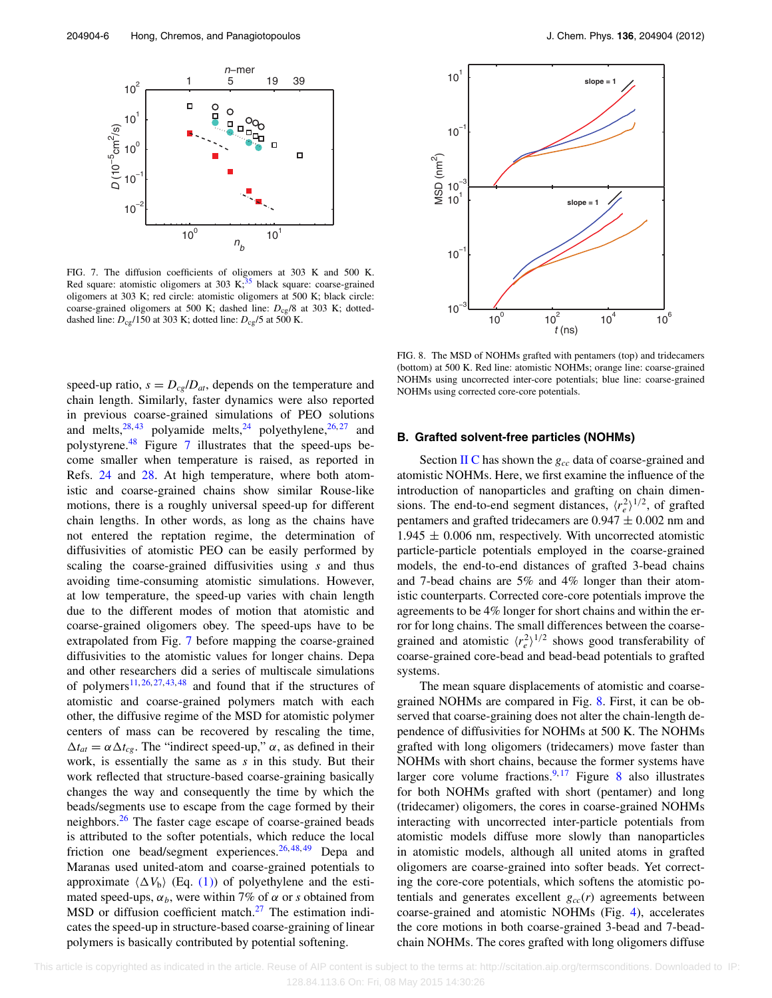<span id="page-6-1"></span>

FIG. 7. The diffusion coefficients of oligomers at 303 K and 500 K. Red square: atomistic oligomers at 303  $K<sub>1</sub><sup>35</sup>$  black square: coarse-grained oligomers at 303 K; red circle: atomistic oligomers at 500 K; black circle: coarse-grained oligomers at 500 K; dashed line:  $D_{cg}/8$  at 303 K; dotteddashed line:  $D_{cg}/150$  at 303 K; dotted line:  $D_{cg}/5$  at 500 K.

speed-up ratio,  $s = D_{cg}/D_{at}$ , depends on the temperature and chain length. Similarly, faster dynamics were also reported in previous coarse-grained simulations of PEO solutions and melts,  $28,43$  $28,43$  polyamide melts,  $24$  polyethylene,  $26,27$  $26,27$  and polystyrene.[48](#page-9-37) Figure [7](#page-6-1) illustrates that the speed-ups become smaller when temperature is raised, as reported in Refs. [24](#page-9-13) and [28.](#page-9-15) At high temperature, where both atomistic and coarse-grained chains show similar Rouse-like motions, there is a roughly universal speed-up for different chain lengths. In other words, as long as the chains have not entered the reptation regime, the determination of diffusivities of atomistic PEO can be easily performed by scaling the coarse-grained diffusivities using *s* and thus avoiding time-consuming atomistic simulations. However, at low temperature, the speed-up varies with chain length due to the different modes of motion that atomistic and coarse-grained oligomers obey. The speed-ups have to be extrapolated from Fig. [7](#page-6-1) before mapping the coarse-grained diffusivities to the atomistic values for longer chains. Depa and other researchers did a series of multiscale simulations of polymers<sup>[11,](#page-9-4) [26,](#page-9-19) [27,](#page-9-14) [43,](#page-9-32) [48](#page-9-37)</sup> and found that if the structures of atomistic and coarse-grained polymers match with each other, the diffusive regime of the MSD for atomistic polymer centers of mass can be recovered by rescaling the time,  $\Delta t_{at} = \alpha \Delta t_{cg}$ . The "indirect speed-up,"  $\alpha$ , as defined in their work, is essentially the same as *s* in this study. But their work reflected that structure-based coarse-graining basically changes the way and consequently the time by which the beads/segments use to escape from the cage formed by their neighbors.<sup>26</sup> The faster cage escape of coarse-grained beads is attributed to the softer potentials, which reduce the local friction one bead/segment experiences.<sup>[26,](#page-9-19) [48,](#page-9-37) [49](#page-9-38)</sup> Depa and Maranas used united-atom and coarse-grained potentials to approximate  $\langle \Delta V_b \rangle$  (Eq. [\(1\)\)](#page-1-1) of polyethylene and the estimated speed-ups,  $\alpha_b$ , were within 7% of  $\alpha$  or *s* obtained from  $MSD$  or diffusion coefficient match.<sup>27</sup> The estimation indicates the speed-up in structure-based coarse-graining of linear polymers is basically contributed by potential softening.

<span id="page-6-2"></span>

FIG. 8. The MSD of NOHMs grafted with pentamers (top) and tridecamers (bottom) at 500 K. Red line: atomistic NOHMs; orange line: coarse-grained NOHMs using uncorrected inter-core potentials; blue line: coarse-grained NOHMs using corrected core-core potentials.

#### <span id="page-6-0"></span>**B. Grafted solvent-free particles (NOHMs)**

Section [II C](#page-3-1) has shown the  $g_{cc}$  data of coarse-grained and atomistic NOHMs. Here, we first examine the influence of the introduction of nanoparticles and grafting on chain dimensions. The end-to-end segment distances,  $\langle r_e^2 \rangle^{1/2}$ , of grafted pentamers and grafted tridecamers are  $0.947 \pm 0.002$  nm and  $1.945 \pm 0.006$  nm, respectively. With uncorrected atomistic particle-particle potentials employed in the coarse-grained models, the end-to-end distances of grafted 3-bead chains and 7-bead chains are 5% and 4% longer than their atomistic counterparts. Corrected core-core potentials improve the agreements to be 4% longer for short chains and within the error for long chains. The small differences between the coarsegrained and atomistic  $\langle r_e^2 \rangle^{1/2}$  shows good transferability of coarse-grained core-bead and bead-bead potentials to grafted systems.

The mean square displacements of atomistic and coarsegrained NOHMs are compared in Fig. [8.](#page-6-2) First, it can be observed that coarse-graining does not alter the chain-length dependence of diffusivities for NOHMs at 500 K. The NOHMs grafted with long oligomers (tridecamers) move faster than NOHMs with short chains, because the former systems have larger core volume fractions. $9,17$  $9,17$  Figure [8](#page-6-2) also illustrates for both NOHMs grafted with short (pentamer) and long (tridecamer) oligomers, the cores in coarse-grained NOHMs interacting with uncorrected inter-particle potentials from atomistic models diffuse more slowly than nanoparticles in atomistic models, although all united atoms in grafted oligomers are coarse-grained into softer beads. Yet correcting the core-core potentials, which softens the atomistic potentials and generates excellent  $g_{cc}(r)$  agreements between coarse-grained and atomistic NOHMs (Fig. [4\)](#page-4-1), accelerates the core motions in both coarse-grained 3-bead and 7-beadchain NOHMs. The cores grafted with long oligomers diffuse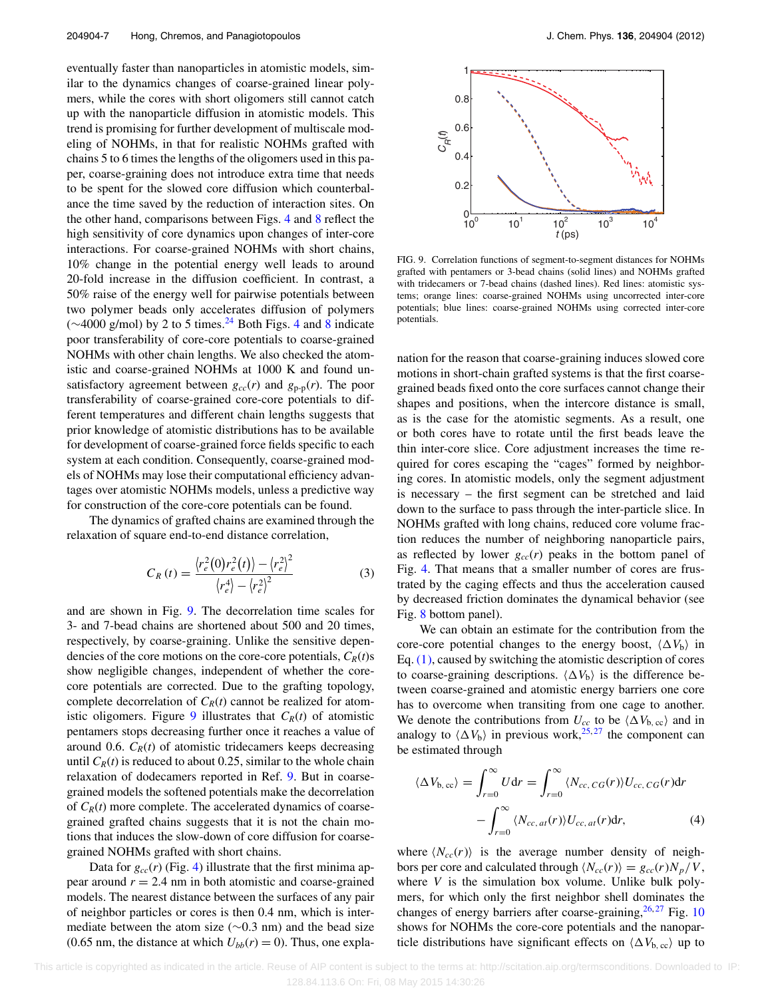eventually faster than nanoparticles in atomistic models, similar to the dynamics changes of coarse-grained linear polymers, while the cores with short oligomers still cannot catch up with the nanoparticle diffusion in atomistic models. This trend is promising for further development of multiscale modeling of NOHMs, in that for realistic NOHMs grafted with chains 5 to 6 times the lengths of the oligomers used in this paper, coarse-graining does not introduce extra time that needs to be spent for the slowed core diffusion which counterbalance the time saved by the reduction of interaction sites. On the other hand, comparisons between Figs. [4](#page-4-1) and [8](#page-6-2) reflect the high sensitivity of core dynamics upon changes of inter-core interactions. For coarse-grained NOHMs with short chains, 10% change in the potential energy well leads to around 20-fold increase in the diffusion coefficient. In contrast, a 50% raise of the energy well for pairwise potentials between two polymer beads only accelerates diffusion of polymers  $(\sim 4000 \text{ g/mol})$  $(\sim 4000 \text{ g/mol})$  $(\sim 4000 \text{ g/mol})$  by 2 to 5 times.<sup>24</sup> Both Figs. 4 and [8](#page-6-2) indicate poor transferability of core-core potentials to coarse-grained NOHMs with other chain lengths. We also checked the atomistic and coarse-grained NOHMs at 1000 K and found unsatisfactory agreement between  $g_{cc}(r)$  and  $g_{p-p}(r)$ . The poor transferability of coarse-grained core-core potentials to different temperatures and different chain lengths suggests that prior knowledge of atomistic distributions has to be available for development of coarse-grained force fields specific to each system at each condition. Consequently, coarse-grained models of NOHMs may lose their computational efficiency advantages over atomistic NOHMs models, unless a predictive way for construction of the core-core potentials can be found.

The dynamics of grafted chains are examined through the relaxation of square end-to-end distance correlation,

$$
C_R(t) = \frac{\langle r_e^2(0)r_e^2(t)\rangle - \langle r_e^2\rangle^2}{\langle r_e^4\rangle - \langle r_e^2\rangle^2}
$$
 (3)

and are shown in Fig. [9.](#page-7-0) The decorrelation time scales for 3- and 7-bead chains are shortened about 500 and 20 times, respectively, by coarse-graining. Unlike the sensitive dependencies of the core motions on the core-core potentials,  $C_R(t)$ s show negligible changes, independent of whether the corecore potentials are corrected. Due to the grafting topology, complete decorrelation of  $C_R(t)$  cannot be realized for atom-istic oligomers. Figure [9](#page-7-0) illustrates that  $C_R(t)$  of atomistic pentamers stops decreasing further once it reaches a value of around 0.6.  $C_R(t)$  of atomistic tridecamers keeps decreasing until  $C_R(t)$  is reduced to about 0.25, similar to the whole chain relaxation of dodecamers reported in Ref. [9.](#page-9-2) But in coarsegrained models the softened potentials make the decorrelation of  $C_R(t)$  more complete. The accelerated dynamics of coarsegrained grafted chains suggests that it is not the chain motions that induces the slow-down of core diffusion for coarsegrained NOHMs grafted with short chains.

Data for  $g_{cc}(r)$  (Fig. [4\)](#page-4-1) illustrate that the first minima appear around  $r = 2.4$  nm in both atomistic and coarse-grained models. The nearest distance between the surfaces of any pair of neighbor particles or cores is then 0.4 nm, which is intermediate between the atom size ( $\sim$ 0.3 nm) and the bead size (0.65 nm, the distance at which  $U_{bb}(r) = 0$ ). Thus, one expla-

<span id="page-7-0"></span>

FIG. 9. Correlation functions of segment-to-segment distances for NOHMs grafted with pentamers or 3-bead chains (solid lines) and NOHMs grafted with tridecamers or 7-bead chains (dashed lines). Red lines: atomistic systems; orange lines: coarse-grained NOHMs using uncorrected inter-core potentials; blue lines: coarse-grained NOHMs using corrected inter-core potentials.

nation for the reason that coarse-graining induces slowed core motions in short-chain grafted systems is that the first coarsegrained beads fixed onto the core surfaces cannot change their shapes and positions, when the intercore distance is small, as is the case for the atomistic segments. As a result, one or both cores have to rotate until the first beads leave the thin inter-core slice. Core adjustment increases the time required for cores escaping the "cages" formed by neighboring cores. In atomistic models, only the segment adjustment is necessary – the first segment can be stretched and laid down to the surface to pass through the inter-particle slice. In NOHMs grafted with long chains, reduced core volume fraction reduces the number of neighboring nanoparticle pairs, as reflected by lower  $g_{cc}(r)$  peaks in the bottom panel of Fig. [4.](#page-4-1) That means that a smaller number of cores are frustrated by the caging effects and thus the acceleration caused by decreased friction dominates the dynamical behavior (see Fig. [8](#page-6-2) bottom panel).

We can obtain an estimate for the contribution from the core-core potential changes to the energy boost,  $\langle \Delta V_b \rangle$  in Eq. [\(1\),](#page-1-1) caused by switching the atomistic description of cores to coarse-graining descriptions.  $\langle \Delta V_b \rangle$  is the difference between coarse-grained and atomistic energy barriers one core has to overcome when transiting from one cage to another. We denote the contributions from  $U_{cc}$  to be  $\langle \Delta V_{b,cc} \rangle$  and in analogy to  $\langle \Delta V_{b} \rangle$  in previous work,<sup>[25,](#page-9-21)[27](#page-9-14)</sup> the component can be estimated through

<span id="page-7-1"></span>
$$
\langle \Delta V_{b, cc} \rangle = \int_{r=0}^{\infty} U dr = \int_{r=0}^{\infty} \langle N_{cc, CG}(r) \rangle U_{cc, CG}(r) dr - \int_{r=0}^{\infty} \langle N_{cc, at}(r) \rangle U_{cc, at}(r) dr,
$$
 (4)

where  $\langle N_{cc}(r) \rangle$  is the average number density of neighbors per core and calculated through  $\langle N_{cc}(r) \rangle = g_{cc}(r) N_p / V$ , where  $V$  is the simulation box volume. Unlike bulk polymers, for which only the first neighbor shell dominates the changes of energy barriers after coarse-graining,  $26.27$  $26.27$  Fig. [10](#page-8-3) shows for NOHMs the core-core potentials and the nanoparticle distributions have significant effects on  $\langle \Delta V_{b, \text{cc}} \rangle$  up to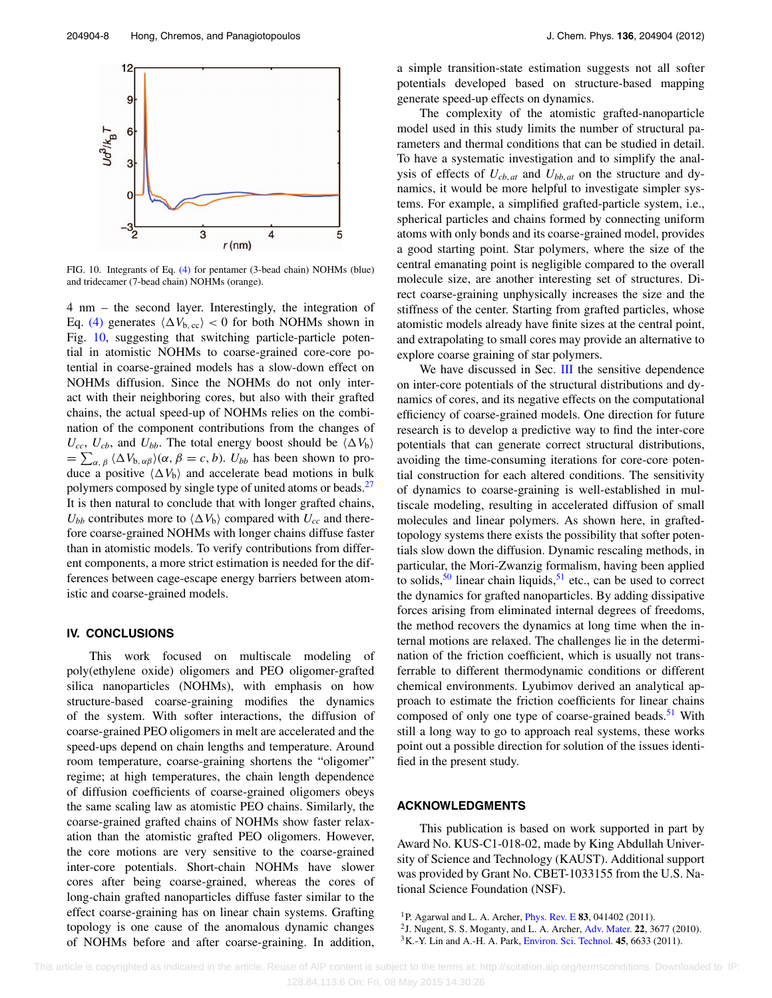<span id="page-8-3"></span>

FIG. 10. Integrants of Eq. [\(4\)](#page-7-1) for pentamer (3-bead chain) NOHMs (blue) and tridecamer (7-bead chain) NOHMs (orange).

4 nm – the second layer. Interestingly, the integration of Eq. [\(4\)](#page-7-1) generates  $\langle \Delta V_{b, \text{cc}} \rangle$  < 0 for both NOHMs shown in Fig. [10,](#page-8-3) suggesting that switching particle-particle potential in atomistic NOHMs to coarse-grained core-core potential in coarse-grained models has a slow-down effect on NOHMs diffusion. Since the NOHMs do not only interact with their neighboring cores, but also with their grafted chains, the actual speed-up of NOHMs relies on the combination of the component contributions from the changes of  $U_{cc}$ ,  $U_{cb}$ , and  $U_{bb}$ . The total energy boost should be  $\langle \Delta V_{b} \rangle$  $=\sum_{\alpha,\,\beta}\langle\Delta V_{b,\,\alpha\beta}\rangle(\alpha,\,\beta=c,\,b)$ .  $U_{bb}$  has been shown to produce a positive  $\langle \Delta V_b \rangle$  and accelerate bead motions in bulk polymers composed by single type of united atoms or beads.  $27$ It is then natural to conclude that with longer grafted chains,  $U_{bb}$  contributes more to  $\langle \Delta V_b \rangle$  compared with  $U_{cc}$  and therefore coarse-grained NOHMs with longer chains diffuse faster than in atomistic models. To verify contributions from different components, a more strict estimation is needed for the differences between cage-escape energy barriers between atomistic and coarse-grained models.

## <span id="page-8-2"></span>**IV. CONCLUSIONS**

This work focused on multiscale modeling of poly(ethylene oxide) oligomers and PEO oligomer-grafted silica nanoparticles (NOHMs), with emphasis on how structure-based coarse-graining modifies the dynamics of the system. With softer interactions, the diffusion of coarse-grained PEO oligomers in melt are accelerated and the speed-ups depend on chain lengths and temperature. Around room temperature, coarse-graining shortens the "oligomer" regime; at high temperatures, the chain length dependence of diffusion coefficients of coarse-grained oligomers obeys the same scaling law as atomistic PEO chains. Similarly, the coarse-grained grafted chains of NOHMs show faster relaxation than the atomistic grafted PEO oligomers. However, the core motions are very sensitive to the coarse-grained inter-core potentials. Short-chain NOHMs have slower cores after being coarse-grained, whereas the cores of long-chain grafted nanoparticles diffuse faster similar to the effect coarse-graining has on linear chain systems. Grafting topology is one cause of the anomalous dynamic changes of NOHMs before and after coarse-graining. In addition, a simple transition-state estimation suggests not all softer potentials developed based on structure-based mapping generate speed-up effects on dynamics.

The complexity of the atomistic grafted-nanoparticle model used in this study limits the number of structural parameters and thermal conditions that can be studied in detail. To have a systematic investigation and to simplify the analysis of effects of  $U_{cb, at}$  and  $U_{bb, at}$  on the structure and dynamics, it would be more helpful to investigate simpler systems. For example, a simplified grafted-particle system, i.e., spherical particles and chains formed by connecting uniform atoms with only bonds and its coarse-grained model, provides a good starting point. Star polymers, where the size of the central emanating point is negligible compared to the overall molecule size, are another interesting set of structures. Direct coarse-graining unphysically increases the size and the stiffness of the center. Starting from grafted particles, whose atomistic models already have finite sizes at the central point, and extrapolating to small cores may provide an alternative to explore coarse graining of star polymers.

We have discussed in Sec. [III](#page-5-0) the sensitive dependence on inter-core potentials of the structural distributions and dynamics of cores, and its negative effects on the computational efficiency of coarse-grained models. One direction for future research is to develop a predictive way to find the inter-core potentials that can generate correct structural distributions, avoiding the time-consuming iterations for core-core potential construction for each altered conditions. The sensitivity of dynamics to coarse-graining is well-established in multiscale modeling, resulting in accelerated diffusion of small molecules and linear polymers. As shown here, in graftedtopology systems there exists the possibility that softer potentials slow down the diffusion. Dynamic rescaling methods, in particular, the Mori-Zwanzig formalism, having been applied to solids,  $50 \text{ linear chain liquids}, 51 \text{ etc.}$  $50 \text{ linear chain liquids}, 51 \text{ etc.}$ , can be used to correct the dynamics for grafted nanoparticles. By adding dissipative forces arising from eliminated internal degrees of freedoms, the method recovers the dynamics at long time when the internal motions are relaxed. The challenges lie in the determination of the friction coefficient, which is usually not transferrable to different thermodynamic conditions or different chemical environments. Lyubimov derived an analytical approach to estimate the friction coefficients for linear chains composed of only one type of coarse-grained beads.<sup>51</sup> With still a long way to go to approach real systems, these works point out a possible direction for solution of the issues identified in the present study.

#### **ACKNOWLEDGMENTS**

This publication is based on work supported in part by Award No. KUS-C1-018-02, made by King Abdullah University of Science and Technology (KAUST). Additional support was provided by Grant No. CBET-1033155 from the U.S. National Science Foundation (NSF).

- <span id="page-8-1"></span>2J. Nugent, S. S. Moganty, and L. A. Archer, [Adv. Mater.](http://dx.doi.org/10.1002/adma.201000898) **22**, 3677 (2010).
- 3K.-Y. Lin and A.-H. A. Park, [Environ. Sci. Technol.](http://dx.doi.org/10.1021/es200146g) **45**, 6633 (2011).

<span id="page-8-0"></span><sup>1</sup>P. Agarwal and L. A. Archer, [Phys. Rev. E](http://dx.doi.org/10.1103/PhysRevE.83.041402) **83**, 041402 (2011).